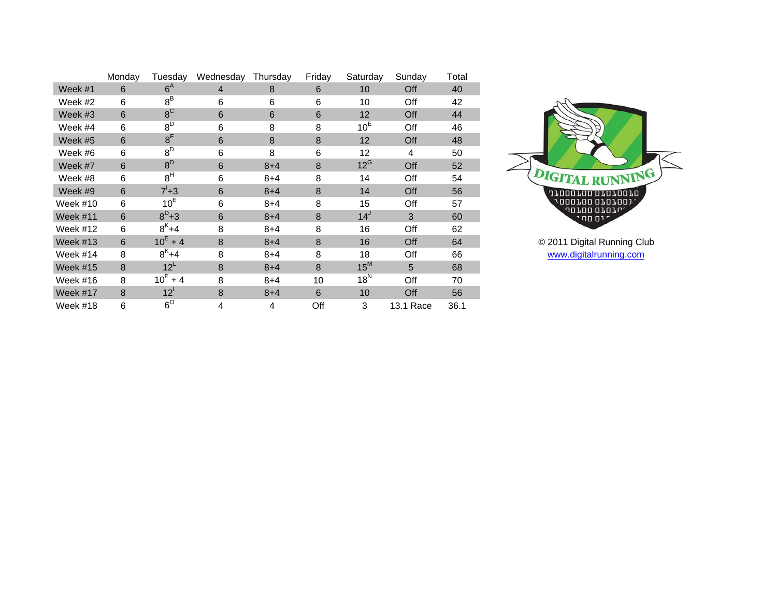|                 | Monday | Tuesday         | Wednesday      | Thursday | Friday | Saturday        | Sunday    | Total |
|-----------------|--------|-----------------|----------------|----------|--------|-----------------|-----------|-------|
| Week #1         | 6      | $6^{\text{A}}$  | $\overline{4}$ | 8        | 6      | 10              | Off       | 40    |
| Week #2         | 6      | $8^B$           | 6              | 6        | 6      | 10              | Off       | 42    |
| Week #3         | 6      | $8^{\text{C}}$  | 6              | 6        | 6      | 12              | Off       | 44    |
| Week #4         | 6      | $8^D$           | 6              | 8        | 8      | 10 <sup>E</sup> | Off       | 46    |
| Week #5         | 6      | 8 <sup>F</sup>  | 6              | 8        | 8      | 12              | Off       | 48    |
| Week #6         | 6      | $8^D$           | 6              | 8        | 6      | 12              | 4         | 50    |
| Week #7         | 6      | $8^D$           | 6              | $8 + 4$  | 8      | $12^G$          | Off       | 52    |
| Week #8         | 6      | 8 <sup>H</sup>  | 6              | $8 + 4$  | 8      | 14              | Off       | 54    |
| Week #9         | 6      | $7^{1}+3$       | 6              | $8 + 4$  | 8      | 14              | Off       | 56    |
| Week #10        | 6      | 10 <sup>E</sup> | 6              | $8 + 4$  | 8      | 15              | Off       | 57    |
| Week $#11$      | 6      | $8^{D}+3$       | 6              | $8 + 4$  | 8      | 14 <sup>J</sup> | 3         | 60    |
| Week #12        | 6      | $8^{K}+4$       | 8              | $8 + 4$  | 8      | 16              | Off       | 62    |
| Week $#13$      | 6      | $10^E + 4$      | 8              | $8 + 4$  | 8      | 16              | Off       | 64    |
| Week #14        | 8      | $8^{K}+4$       | 8              | $8 + 4$  | 8      | 18              | Off       | 66    |
| <b>Week #15</b> | 8      | 12 <sup>L</sup> | 8              | $8 + 4$  | 8      | $15^M$          | 5         | 68    |
| Week #16        | 8      | $10^E + 4$      | 8              | $8 + 4$  | 10     | $18^N$          | Off       | 70    |
| Week #17        | 8      | 12 <sup>L</sup> | 8              | $8 + 4$  | 6      | 10              | Off       | 56    |
| Week #18        | 6      | $6^\circ$       | 4              | 4        | Off    | 3               | 13.1 Race | 36.1  |



© 2011 Digital Running Club [www.digitalrunning.com](http://www.digitalrunning.com/)